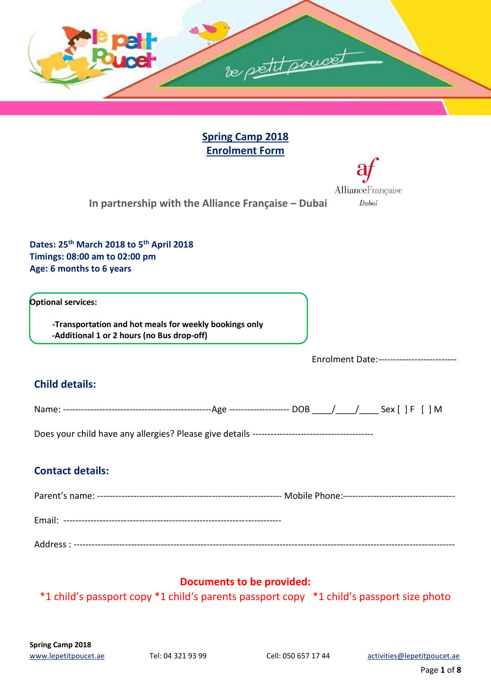

**Spring Camp 2018 Enrolment Form**

AllianceFrançaise

Dubai

**In partnership with the Alliance Française – Dubai** 

**Dates: 25th March 2018 to 5 th April 2018 Timings: 08:00 am to 02:00 pm Age: 6 months to 6 years**

**Optional services:** 

 **-Transportation and hot meals for weekly bookings only -Additional 1 or 2 hours (no Bus drop-off)**

Enrolment Date:--------------------------

## **Child details:**

| Nar | ---------------------<br>ำ≃ |  |
|-----|-----------------------------|--|
|     |                             |  |

Does your child have any allergies? Please give details ----------------------------------------

## **Contact details:**

Parent's name: ------------------------------------------------------------- Mobile Phone:------------------------------------- Email: ------------------------------------------------------------------------ Address : ------------------------------------------------------------------------------------------------------------------------------

## **Documents to be provided:**

\*1 child's passport copy \*1 child's parents passport copy \*1 child's passport size photo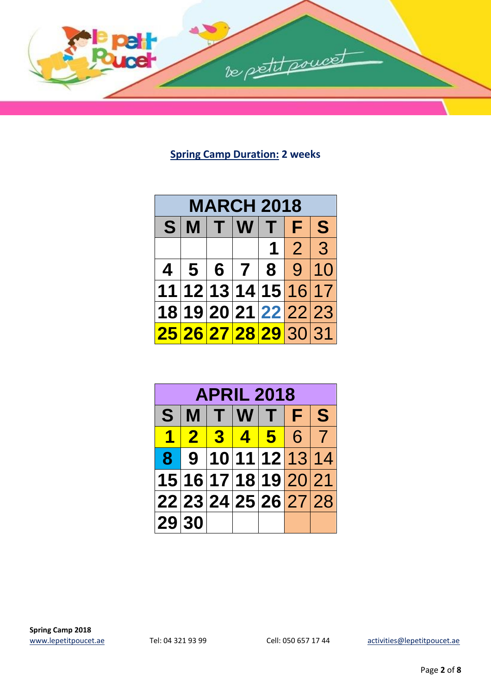

# **Spring Camp Duration: 2 weeks**

| <b>MARCH 2018</b>          |  |  |                      |  |       |  |  |
|----------------------------|--|--|----------------------|--|-------|--|--|
| $\mathbf{S}$<br>S<br>MTWTF |  |  |                      |  |       |  |  |
|                            |  |  |                      |  | 1 2 3 |  |  |
|                            |  |  | 4 5 6 7 8 9 10       |  |       |  |  |
|                            |  |  | 11 12 13 14 15 16 17 |  |       |  |  |
|                            |  |  | 18 19 20 21 22 22 23 |  |       |  |  |
|                            |  |  | 25 26 27 28 29 30 31 |  |       |  |  |

| <b>APRIL 2018</b>    |  |        |  |                      |  |  |  |
|----------------------|--|--------|--|----------------------|--|--|--|
| S                    |  | MTWTFS |  |                      |  |  |  |
| 4                    |  |        |  | 2 3 4 5 6 7          |  |  |  |
|                      |  |        |  | 8 9 10 11 12 13 14   |  |  |  |
|                      |  |        |  | 15 16 17 18 19 20 21 |  |  |  |
| 22 23 24 25 26 27 28 |  |        |  |                      |  |  |  |
| 29 30                |  |        |  |                      |  |  |  |

[www.lepetitpoucet.ae](http://www.lepetitpoucet.ae/) Tel: 04 321 93 99 Cell: 050 657 17 44 [activities@lepetitpoucet.ae](mailto:activities@lepetitpoucet.ae)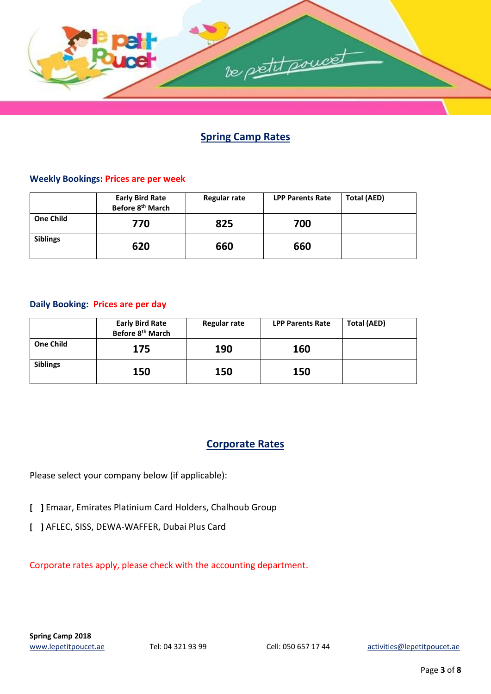

# **Spring Camp Rates**

#### **Weekly Bookings: Prices are per week**

|                  | <b>Early Bird Rate</b><br>Before 8 <sup>th</sup> March | Regular rate | <b>LPP Parents Rate</b> | <b>Total (AED)</b> |
|------------------|--------------------------------------------------------|--------------|-------------------------|--------------------|
| <b>One Child</b> | 770                                                    | 825          | 700                     |                    |
| <b>Siblings</b>  | 620                                                    | 660          | 660                     |                    |

#### **Daily Booking: Prices are per day**

|                  | <b>Early Bird Rate</b><br>Before 8 <sup>th</sup> March | <b>Regular rate</b> | <b>LPP Parents Rate</b> | <b>Total (AED)</b> |
|------------------|--------------------------------------------------------|---------------------|-------------------------|--------------------|
| <b>One Child</b> | 175                                                    | 190                 | 160                     |                    |
| <b>Siblings</b>  | 150                                                    | 150                 | 150                     |                    |

## **Corporate Rates**

Please select your company below (if applicable):

- **[ ]** Emaar, Emirates Platinium Card Holders, Chalhoub Group
- **[ ]** AFLEC, SISS, DEWA-WAFFER, Dubai Plus Card

Corporate rates apply, please check with the accounting department.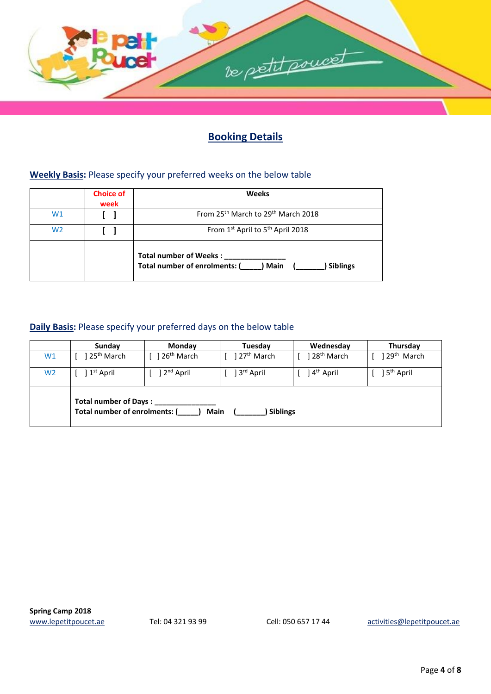

# **Booking Details**

#### **Weekly Basis:** Please specify your preferred weeks on the below table

|                | <b>Choice of</b><br>week | <b>Weeks</b>                                                                                |  |  |
|----------------|--------------------------|---------------------------------------------------------------------------------------------|--|--|
| W1             |                          | From 25 <sup>th</sup> March to 29 <sup>th</sup> March 2018                                  |  |  |
| W <sub>2</sub> |                          | From 1st April to 5 <sup>th</sup> April 2018                                                |  |  |
|                |                          | <b>Total number of Weeks:</b><br>Total number of enrolments: (<br>) Main<br><b>Siblings</b> |  |  |

#### **Daily Basis:** Please specify your preferred days on the below table

|                | Sunday                                                                                   | Monday                  | Tuesday                  | Wednesday              | Thursday                |  |  |
|----------------|------------------------------------------------------------------------------------------|-------------------------|--------------------------|------------------------|-------------------------|--|--|
| W1             | 25 <sup>th</sup> March                                                                   | 26 <sup>th</sup> March  | ] 27 <sup>th</sup> March | 28 <sup>th</sup> March | 129 <sup>th</sup> March |  |  |
| W <sub>2</sub> | ] 1 <sup>st</sup> April                                                                  | ] 2 <sup>nd</sup> April | ] 3 <sup>rd</sup> April  | 4 <sup>th</sup> April  | ] 5 <sup>th</sup> April |  |  |
|                | Total number of Days:<br>Total number of enrolments: (<br><b>Main</b><br><b>Siblings</b> |                         |                          |                        |                         |  |  |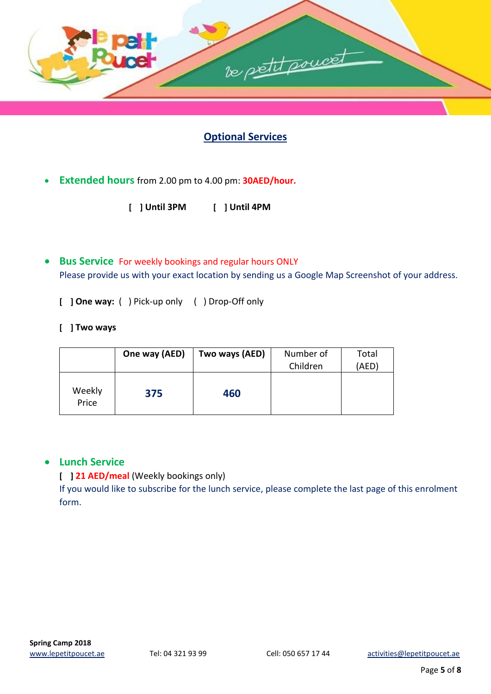

# **Optional Services**

- **Extended hours** from 2.00 pm to 4.00 pm: **30AED/hour.** 
	- **[ ] Until 3PM [ ] Until 4PM**
- **Bus Service** For weekly bookings and regular hours ONLY Please provide us with your exact location by sending us a Google Map Screenshot of your address.
	- **[ ] One way:** ( ) Pick-up only ( ) Drop-Off only
	- **[ ] Two ways**

|                 | One way (AED) | Two ways (AED) | Number of<br>Children | Total<br>(AED) |
|-----------------|---------------|----------------|-----------------------|----------------|
| Weekly<br>Price | 375           | 460            |                       |                |

#### **Lunch Service**

#### **[ ] 21 AED/meal** (Weekly bookings only)

If you would like to subscribe for the lunch service, please complete the last page of this enrolment form.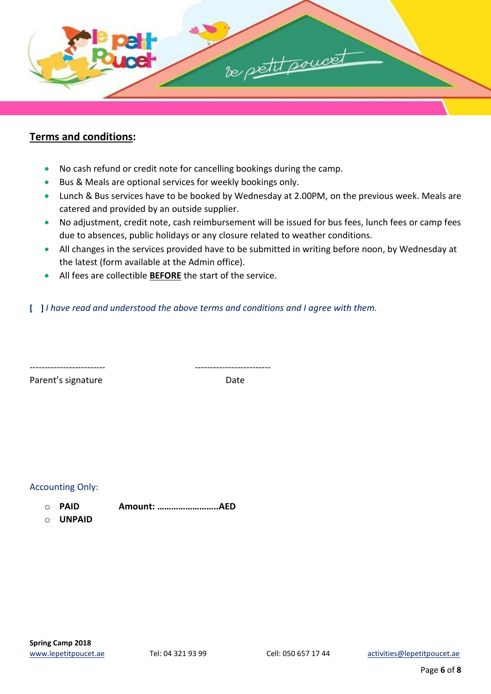

#### **Terms and conditions:**

- No cash refund or credit note for cancelling bookings during the camp.
- Bus & Meals are optional services for weekly bookings only.
- Lunch & Bus services have to be booked by Wednesday at 2.00PM, on the previous week. Meals are catered and provided by an outside supplier.
- No adjustment, credit note, cash reimbursement will be issued for bus fees, lunch fees or camp fees due to absences, public holidays or any closure related to weather conditions.
- All changes in the services provided have to be submitted in writing before noon, by Wednesday at the latest (form available at the Admin office).
- All fees are collectible **BEFORE** the start of the service.

**[ ]** *I have read and understood the above terms and conditions and I agree with them.* 

------------------------- -------------------------

Parent's signature Date

Accounting Only:

o **PAID Amount: ……………………..AED** 

o **UNPAID**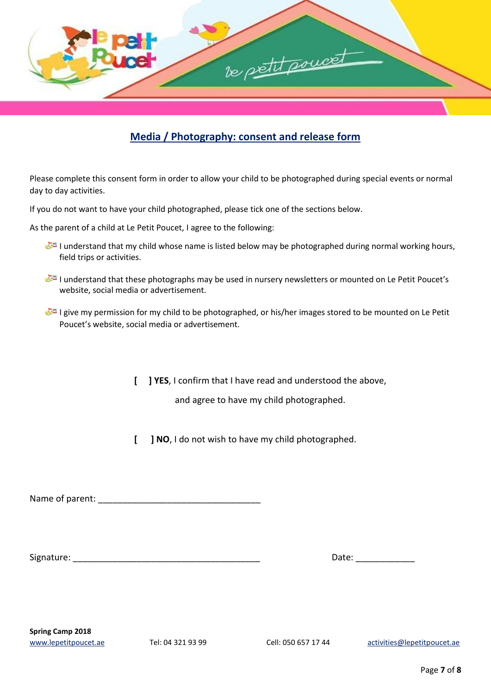

# **Media / Photography: consent and release form**

Please complete this consent form in order to allow your child to be photographed during special events or normal day to day activities.

If you do not want to have your child photographed, please tick one of the sections below.

As the parent of a child at Le Petit Poucet, I agree to the following:

- I understand that my child whose name is listed below may be photographed during normal working hours, field trips or activities.
- I understand that these photographs may be used in nursery newsletters or mounted on Le Petit Poucet's website, social media or advertisement.
- I give my permission for my child to be photographed, or his/her images stored to be mounted on Le Petit Poucet's website, social media or advertisement.

**[ ] YES**, I confirm that I have read and understood the above,

and agree to have my child photographed.

**[ ] NO**, I do not wish to have my child photographed.

Name of parent:  $\blacksquare$ 

Signature: \_\_\_\_\_\_\_\_\_\_\_\_\_\_\_\_\_\_\_\_\_\_\_\_\_\_\_\_\_\_\_\_\_\_\_\_\_\_ Date: \_\_\_\_\_\_\_\_\_\_\_\_